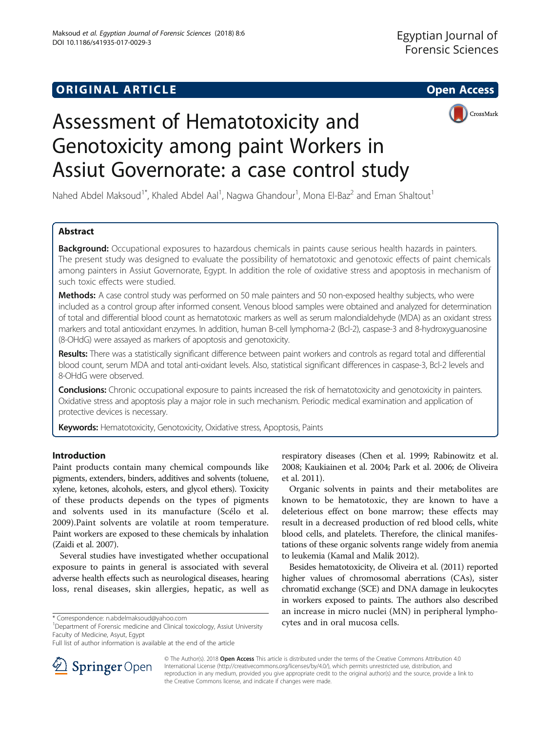

# Assessment of Hematotoxicity and Genotoxicity among paint Workers in Assiut Governorate: a case control study

Nahed Abdel Maksoud<sup>1\*</sup>, Khaled Abdel Aal<sup>1</sup>, Nagwa Ghandour<sup>1</sup>, Mona El-Baz<sup>2</sup> and Eman Shaltout<sup>1</sup>

# Abstract

Background: Occupational exposures to hazardous chemicals in paints cause serious health hazards in painters. The present study was designed to evaluate the possibility of hematotoxic and genotoxic effects of paint chemicals among painters in Assiut Governorate, Egypt. In addition the role of oxidative stress and apoptosis in mechanism of such toxic effects were studied.

Methods: A case control study was performed on 50 male painters and 50 non-exposed healthy subjects, who were included as a control group after informed consent. Venous blood samples were obtained and analyzed for determination of total and differential blood count as hematotoxic markers as well as serum malondialdehyde (MDA) as an oxidant stress markers and total antioxidant enzymes. In addition, human B-cell lymphoma-2 (Bcl-2), caspase-3 and 8-hydroxyguanosine (8-OHdG) were assayed as markers of apoptosis and genotoxicity.

Results: There was a statistically significant difference between paint workers and controls as regard total and differential blood count, serum MDA and total anti-oxidant levels. Also, statistical significant differences in caspase-3, Bcl-2 levels and 8-OHdG were observed.

**Conclusions:** Chronic occupational exposure to paints increased the risk of hematotoxicity and genotoxicity in painters. Oxidative stress and apoptosis play a major role in such mechanism. Periodic medical examination and application of protective devices is necessary.

Keywords: Hematotoxicity, Genotoxicity, Oxidative stress, Apoptosis, Paints

# Introduction

Paint products contain many chemical compounds like pigments, extenders, binders, additives and solvents (toluene, xylene, ketones, alcohols, esters, and glycol ethers). Toxicity of these products depends on the types of pigments and solvents used in its manufacture (Scélo et al. [2009\)](#page-10-0).Paint solvents are volatile at room temperature. Paint workers are exposed to these chemicals by inhalation (Zaidi et al. [2007](#page-10-0)).

Several studies have investigated whether occupational exposure to paints in general is associated with several adverse health effects such as neurological diseases, hearing loss, renal diseases, skin allergies, hepatic, as well as

\* Correspondence: [n.abdelmaksoud@yahoo.com](mailto:n.abdelmaksoud@yahoo.com)<br><sup>1</sup>Department of Forensic medicine and Clinical toxicology, Assiut University **cytes and in oral mucosa cells.** Faculty of Medicine, Asyut, Egypt

respiratory diseases (Chen et al. [1999;](#page-9-0) Rabinowitz et al. [2008;](#page-10-0) Kaukiainen et al. [2004;](#page-10-0) Park et al. [2006;](#page-10-0) de Oliveira et al. [2011](#page-9-0)).

Organic solvents in paints and their metabolites are known to be hematotoxic, they are known to have a deleterious effect on bone marrow; these effects may result in a decreased production of red blood cells, white blood cells, and platelets. Therefore, the clinical manifestations of these organic solvents range widely from anemia to leukemia (Kamal and Malik [2012\)](#page-10-0).

Besides hematotoxicity, de Oliveira et al. ([2011\)](#page-9-0) reported higher values of chromosomal aberrations (CAs), sister chromatid exchange (SCE) and DNA damage in leukocytes in workers exposed to paints. The authors also described an increase in micro nuclei (MN) in peripheral lympho-



© The Author(s). 2018 Open Access This article is distributed under the terms of the Creative Commons Attribution 4.0 International License ([http://creativecommons.org/licenses/by/4.0/\)](http://creativecommons.org/licenses/by/4.0/), which permits unrestricted use, distribution, and reproduction in any medium, provided you give appropriate credit to the original author(s) and the source, provide a link to the Creative Commons license, and indicate if changes were made.

Full list of author information is available at the end of the article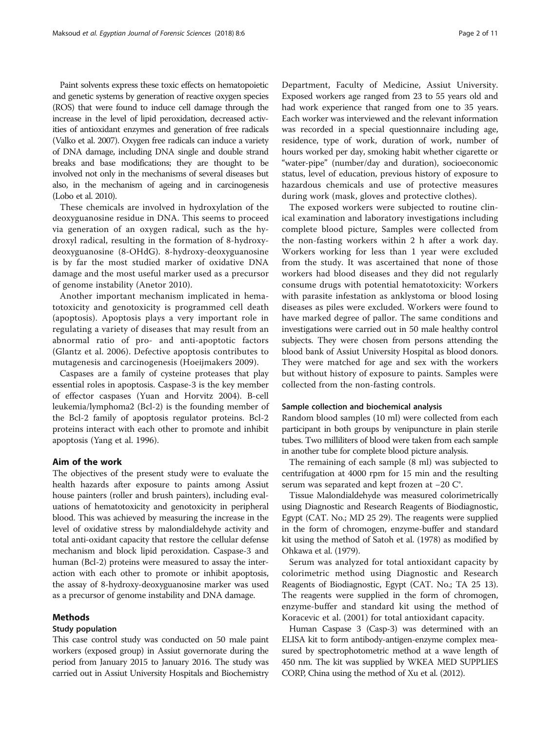Paint solvents express these toxic effects on hematopoietic and genetic systems by generation of reactive oxygen species (ROS) that were found to induce cell damage through the increase in the level of lipid peroxidation, decreased activities of antioxidant enzymes and generation of free radicals (Valko et al. [2007](#page-10-0)). Oxygen free radicals can induce a variety of DNA damage, including DNA single and double strand breaks and base modifications; they are thought to be involved not only in the mechanisms of several diseases but also, in the mechanism of ageing and in carcinogenesis (Lobo et al. [2010](#page-10-0)).

These chemicals are involved in hydroxylation of the deoxyguanosine residue in DNA. This seems to proceed via generation of an oxygen radical, such as the hydroxyl radical, resulting in the formation of 8-hydroxydeoxyguanosine (8-OHdG). 8-hydroxy-deoxyguanosine is by far the most studied marker of oxidative DNA damage and the most useful marker used as a precursor of genome instability (Anetor [2010\)](#page-9-0).

Another important mechanism implicated in hematotoxicity and genotoxicity is programmed cell death (apoptosis). Apoptosis plays a very important role in regulating a variety of diseases that may result from an abnormal ratio of pro- and anti-apoptotic factors (Glantz et al. [2006\)](#page-10-0). Defective apoptosis contributes to mutagenesis and carcinogenesis (Hoeijmakers [2009](#page-10-0)).

Caspases are a family of cysteine proteases that play essential roles in apoptosis. Caspase-3 is the key member of effector caspases (Yuan and Horvitz [2004](#page-10-0)). B-cell leukemia/lymphoma2 (Bcl-2) is the founding member of the Bcl-2 family of apoptosis regulator proteins. Bcl-2 proteins interact with each other to promote and inhibit apoptosis (Yang et al. [1996\)](#page-10-0).

#### Aim of the work

The objectives of the present study were to evaluate the health hazards after exposure to paints among Assiut house painters (roller and brush painters), including evaluations of hematotoxicity and genotoxicity in peripheral blood. This was achieved by measuring the increase in the level of oxidative stress by malondialdehyde activity and total anti-oxidant capacity that restore the cellular defense mechanism and block lipid peroxidation. Caspase-3 and human (Bcl-2) proteins were measured to assay the interaction with each other to promote or inhibit apoptosis, the assay of 8-hydroxy-deoxyguanosine marker was used as a precursor of genome instability and DNA damage.

### Methods

# Study population

This case control study was conducted on 50 male paint workers (exposed group) in Assiut governorate during the period from January 2015 to January 2016. The study was carried out in Assiut University Hospitals and Biochemistry

Department, Faculty of Medicine, Assiut University. Exposed workers age ranged from 23 to 55 years old and had work experience that ranged from one to 35 years. Each worker was interviewed and the relevant information was recorded in a special questionnaire including age, residence, type of work, duration of work, number of hours worked per day, smoking habit whether cigarette or "water-pipe" (number/day and duration), socioeconomic status, level of education, previous history of exposure to hazardous chemicals and use of protective measures during work (mask, gloves and protective clothes).

The exposed workers were subjected to routine clinical examination and laboratory investigations including complete blood picture, Samples were collected from the non-fasting workers within 2 h after a work day. Workers working for less than 1 year were excluded from the study. It was ascertained that none of those workers had blood diseases and they did not regularly consume drugs with potential hematotoxicity: Workers with parasite infestation as anklystoma or blood losing diseases as piles were excluded. Workers were found to have marked degree of pallor. The same conditions and investigations were carried out in 50 male healthy control subjects. They were chosen from persons attending the blood bank of Assiut University Hospital as blood donors. They were matched for age and sex with the workers but without history of exposure to paints. Samples were collected from the non-fasting controls.

# Sample collection and biochemical analysis

Random blood samples (10 ml) were collected from each participant in both groups by venipuncture in plain sterile tubes. Two milliliters of blood were taken from each sample in another tube for complete blood picture analysis.

The remaining of each sample (8 ml) was subjected to centrifugation at 4000 rpm for 15 min and the resulting serum was separated and kept frozen at −20 C°.

Tissue Malondialdehyde was measured colorimetrically using Diagnostic and Research Reagents of Biodiagnostic, Egypt (CAT. No.; MD 25 29). The reagents were supplied in the form of chromogen, enzyme-buffer and standard kit using the method of Satoh et al. [\(1978](#page-10-0)) as modified by Ohkawa et al. [\(1979](#page-10-0)).

Serum was analyzed for total antioxidant capacity by colorimetric method using Diagnostic and Research Reagents of Biodiagnostic, Egypt (CAT. No.; TA 25 13). The reagents were supplied in the form of chromogen, enzyme-buffer and standard kit using the method of Koracevic et al. ([2001\)](#page-10-0) for total antioxidant capacity.

Human Caspase 3 (Casp-3) was determined with an ELISA kit to form antibody-antigen-enzyme complex measured by spectrophotometric method at a wave length of 450 nm. The kit was supplied by WKEA MED SUPPLIES CORP, China using the method of Xu et al. ([2012\)](#page-10-0).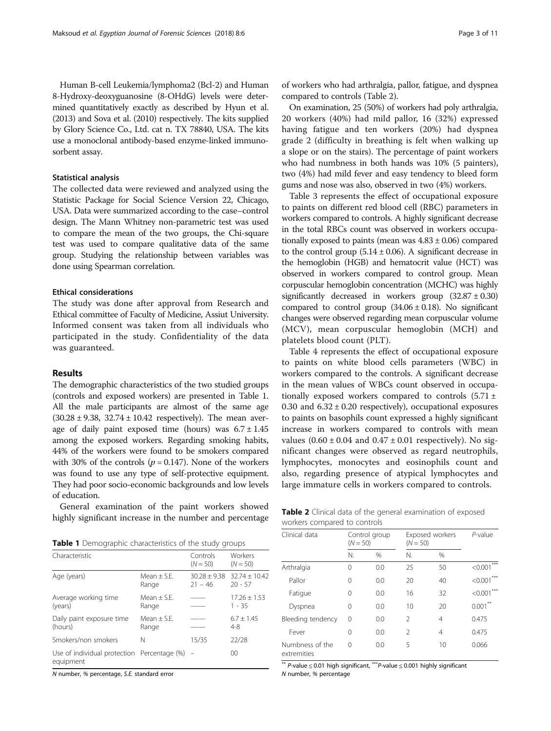Human B-cell Leukemia/lymphoma2 (Bcl-2) and Human 8-Hydroxy-deoxyguanosine (8-OHdG) levels were determined quantitatively exactly as described by Hyun et al. ([2013\)](#page-10-0) and Sova et al. [\(2010](#page-10-0)) respectively. The kits supplied by Glory Science Co., Ltd. cat n. TX 78840, USA. The kits use a monoclonal antibody-based enzyme-linked immunosorbent assay.

## Statistical analysis

The collected data were reviewed and analyzed using the Statistic Package for Social Science Version 22, Chicago, USA. Data were summarized according to the case–control design. The Mann Whitney non-parametric test was used to compare the mean of the two groups, the Chi-square test was used to compare qualitative data of the same group. Studying the relationship between variables was done using Spearman correlation.

# Ethical considerations

The study was done after approval from Research and Ethical committee of Faculty of Medicine, Assiut University. Informed consent was taken from all individuals who participated in the study. Confidentiality of the data was guaranteed.

## Results

The demographic characteristics of the two studied groups (controls and exposed workers) are presented in Table 1. All the male participants are almost of the same age  $(30.28 \pm 9.38, 32.74 \pm 10.42$  respectively). The mean average of daily paint exposed time (hours) was  $6.7 \pm 1.45$ among the exposed workers. Regarding smoking habits, 44% of the workers were found to be smokers compared with 30% of the controls ( $p = 0.147$ ). None of the workers was found to use any type of self-protective equipment. They had poor socio-economic backgrounds and low levels of education.

General examination of the paint workers showed highly significant increase in the number and percentage

Table 1 Demographic characteristics of the study groups

| Characteristic                                                |                        | Controls<br>$(N = 50)$      | Workers<br>$(N = 50)$        |
|---------------------------------------------------------------|------------------------|-----------------------------|------------------------------|
| Age (years)                                                   | Mean $+$ S.F.<br>Range | $30.28 + 9.38$<br>$21 - 46$ | $32.74 + 10.42$<br>$20 - 57$ |
| Average working time<br>(years)                               | $Mean + SE$ .<br>Range |                             | $17.26 + 1.53$<br>$1 - 35$   |
| Daily paint exposure time<br>(hours)                          | $Mean + SE$ .<br>Range |                             | $6.7 \pm 1.45$<br>$4 - 8$    |
| Smokers/non smokers                                           | N                      | 15/35                       | 22/28                        |
| Use of individual protection Percentage $(\%)$ =<br>equipment |                        |                             | $00 \,$                      |

N number, % percentage, S.E. standard error

of workers who had arthralgia, pallor, fatigue, and dyspnea compared to controls (Table 2).

On examination, 25 (50%) of workers had poly arthralgia, 20 workers (40%) had mild pallor, 16 (32%) expressed having fatigue and ten workers (20%) had dyspnea grade 2 (difficulty in breathing is felt when walking up a slope or on the stairs). The percentage of paint workers who had numbness in both hands was 10% (5 painters), two (4%) had mild fever and easy tendency to bleed form gums and nose was also, observed in two (4%) workers.

Table [3](#page-3-0) represents the effect of occupational exposure to paints on different red blood cell (RBC) parameters in workers compared to controls. A highly significant decrease in the total RBCs count was observed in workers occupationally exposed to paints (mean was  $4.83 \pm 0.06$ ) compared to the control group  $(5.14 \pm 0.06)$ . A significant decrease in the hemoglobin (HGB) and hematocrit value (HCT) was observed in workers compared to control group. Mean corpuscular hemoglobin concentration (MCHC) was highly significantly decreased in workers group  $(32.87 \pm 0.30)$ compared to control group  $(34.06 \pm 0.18)$ . No significant changes were observed regarding mean corpuscular volume (MCV), mean corpuscular hemoglobin (MCH) and platelets blood count (PLT).

Table [4](#page-3-0) represents the effect of occupational exposure to paints on white blood cells parameters (WBC) in workers compared to the controls. A significant decrease in the mean values of WBCs count observed in occupationally exposed workers compared to controls  $(5.71 \pm$ 0.30 and  $6.32 \pm 0.20$  respectively), occupational exposures to paints on basophils count expressed a highly significant increase in workers compared to controls with mean values  $(0.60 \pm 0.04$  and  $0.47 \pm 0.01$  respectively). No significant changes were observed as regard neutrophils, lymphocytes, monocytes and eosinophils count and also, regarding presence of atypical lymphocytes and large immature cells in workers compared to controls.

| Table 2 Clinical data of the general examination of exposed |  |  |
|-------------------------------------------------------------|--|--|
| workers compared to controls                                |  |  |

| Clinical data                  |          | Control group<br>$(N = 50)$ |                | Exposed workers<br>$(N = 50)$ |                  |
|--------------------------------|----------|-----------------------------|----------------|-------------------------------|------------------|
|                                | N.       | %                           | N.             | %                             |                  |
| Arthralgia                     | $\Omega$ | 0.0                         | 25             | 50                            | ***<br>< 0.001   |
| Pallor                         | $\Omega$ | 0.0                         | 20             | 40                            | $***$<br>< 0.001 |
| Fatigue                        | $\Omega$ | 0.0                         | 16             | 32                            | ***<br>< 0.001   |
| Dyspnea                        | 0        | 0.0                         | 10             | 20                            | $0.001***$       |
| Bleeding tendency              | $\Omega$ | 0.0                         | $\mathfrak{D}$ | 4                             | 0.475            |
| Fever                          | $\Omega$ | 0.0                         | $\mathfrak{D}$ | 4                             | 0.475            |
| Numbness of the<br>extremities | ∩        | 0.0                         | 5              | 10                            | 0.066            |

\*\* P-value <sup>≤</sup> 0.01 high significant, \*\*\*P-value <sup>≤</sup> 0.001 highly significant N number, % percentage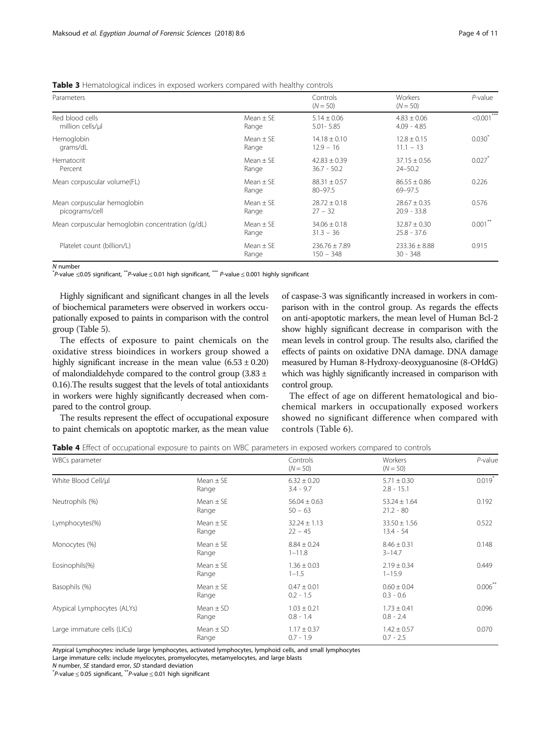<span id="page-3-0"></span>

| <b>Table 3</b> Hematological indices in exposed workers compared with healthy controls |  |  |  |
|----------------------------------------------------------------------------------------|--|--|--|
|----------------------------------------------------------------------------------------|--|--|--|

| Parameters                                       |                        | Controls                          | Workers                           | $P$ -value           |
|--------------------------------------------------|------------------------|-----------------------------------|-----------------------------------|----------------------|
|                                                  |                        | $(N = 50)$                        | $(N = 50)$                        |                      |
| Red blood cells<br>million cells/ul              | $Mean + SF$<br>Range   | $5.14 \pm 0.06$<br>$5.01 - 5.85$  | $4.83 \pm 0.06$<br>$4.09 - 4.85$  | $\leq 0.001$         |
| Hemoglobin<br>grams/dL                           | $Mean + SF$<br>Range   | $14.18 \pm 0.10$<br>$12.9 - 16$   | $12.8 \pm 0.15$<br>$11.1 - 13$    | $0.030^{*}$          |
| Hematocrit<br>Percent                            | Mean $\pm$ SE<br>Range | $42.83 \pm 0.39$<br>$36.7 - 50.2$ | $37.15 \pm 0.56$<br>$24 - 50.2$   | $0.027$ <sup>*</sup> |
| Mean corpuscular volume(FL)                      | $Mean + SF$<br>Range   | $88.31 \pm 0.57$<br>$80 - 97.5$   | $86.55 \pm 0.86$<br>69-97.5       | 0.226                |
| Mean corpuscular hemoglobin<br>picograms/cell    | $Mean + SF$<br>Range   | $28.72 \pm 0.18$<br>$27 - 32$     | $28.67 \pm 0.35$<br>$20.9 - 33.8$ | 0.576                |
| Mean corpuscular hemoglobin concentration (g/dL) | Mean $\pm$ SE<br>Range | $34.06 \pm 0.18$<br>$31.3 - 36$   | $32.87 \pm 0.30$<br>$25.8 - 37.6$ | $0.001***$           |
| Platelet count (billion/L)                       | $Mean + SF$<br>Range   | $236.76 \pm 7.89$<br>$150 - 348$  | $233.36 \pm 8.88$<br>$30 - 348$   | 0.915                |

N number<br>"P-value ≤0.05 significant, ""P-value ≤ 0.01 high significant, """ P-value ≤ 0.001 highly significant<br>"

Highly significant and significant changes in all the levels of biochemical parameters were observed in workers occupationally exposed to paints in comparison with the control group (Table [5\)](#page-4-0).

The effects of exposure to paint chemicals on the oxidative stress bioindices in workers group showed a highly significant increase in the mean value  $(6.53 \pm 0.20)$ of malondialdehyde compared to the control group (3.83 ± 0.16).The results suggest that the levels of total antioxidants in workers were highly significantly decreased when compared to the control group.

The results represent the effect of occupational exposure to paint chemicals on apoptotic marker, as the mean value

of caspase-3 was significantly increased in workers in comparison with in the control group. As regards the effects on anti-apoptotic markers, the mean level of Human Bcl-2 show highly significant decrease in comparison with the mean levels in control group. The results also, clarified the effects of paints on oxidative DNA damage. DNA damage measured by Human 8-Hydroxy-deoxyguanosine (8-OHdG) which was highly significantly increased in comparison with control group.

The effect of age on different hematological and biochemical markers in occupationally exposed workers showed no significant difference when compared with controls (Table [6](#page-4-0)).

Table 4 Effect of occupational exposure to paints on WBC parameters in exposed workers compared to controls

| WBCs parameter              |                        | Controls<br>$(N = 50)$         | Workers<br>$(N = 50)$           | $P$ -value            |
|-----------------------------|------------------------|--------------------------------|---------------------------------|-----------------------|
| White Blood Cell/ul         | Mean $\pm$ SE<br>Range | $6.32 \pm 0.20$<br>$3.4 - 9.7$ | $5.71 \pm 0.30$<br>$2.8 - 15.1$ | $0.019^{*}$           |
| Neutrophils (%)             | Mean $\pm$ SE<br>Range | $56.04 \pm 0.63$<br>$50 - 63$  | $53.24 \pm 1.64$<br>$21.2 - 80$ | 0.192                 |
| Lymphocytes(%)              | Mean $\pm$ SE<br>Range | $32.24 \pm 1.13$<br>$22 - 45$  | $33.50 \pm 1.56$<br>$13.4 - 54$ | 0.522                 |
| Monocytes (%)               | Mean $\pm$ SE<br>Range | $8.84 \pm 0.24$<br>$1 - 11.8$  | $8.46 \pm 0.31$<br>$3 - 14.7$   | 0.148                 |
| Eosinophils(%)              | Mean $\pm$ SE<br>Range | $1.36 \pm 0.03$<br>$1 - 1.5$   | $2.19 \pm 0.34$<br>$1 - 15.9$   | 0.449                 |
| Basophils (%)               | Mean $\pm$ SE<br>Range | $0.47 \pm 0.01$<br>$0.2 - 1.5$ | $0.60 \pm 0.04$<br>$0.3 - 0.6$  | $0.006$ <sup>**</sup> |
| Atypical Lymphocytes (ALYs) | $Mean + SD$<br>Range   | $1.03 \pm 0.21$<br>$0.8 - 1.4$ | $1.73 \pm 0.41$<br>$0.8 - 2.4$  | 0.096                 |
| Large immature cells (LICs) | Mean $\pm$ SD<br>Range | $1.17 \pm 0.37$<br>$0.7 - 1.9$ | $1.42 \pm 0.57$<br>$0.7 - 2.5$  | 0.070                 |

Atypical Lymphocytes: include large lymphocytes, activated lymphocytes, lymphoid cells, and small lymphocytes

Large immature cells: include myelocytes, promyelocytes, metamyelocytes, and large blasts

<sup>N</sup> number, SE standard error, SD standard deviation \*

 $p^*P$ -value  $\leq$  0.05 significant,  $p^*P$ -value  $\leq$  0.01 high significant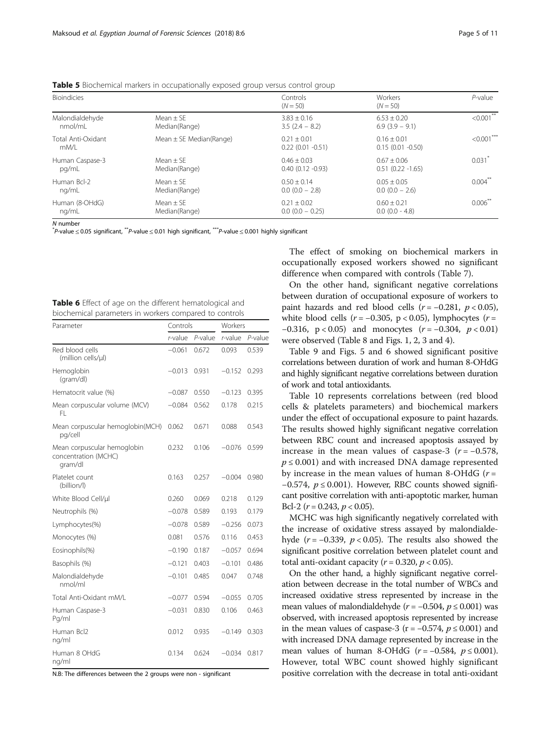<span id="page-4-0"></span>Table 5 Biochemical markers in occupationally exposed group versus control group

| <b>Bioindicies</b>         |                             | Controls<br>$(N = 50)$                  | Workers<br>$(N = 50)$                | $P$ -value    |
|----------------------------|-----------------------------|-----------------------------------------|--------------------------------------|---------------|
| Malondialdehyde            | $Mean + SF$                 | $3.83 + 0.16$                           | $6.53 + 0.20$                        | $< 0.001$ **  |
| nmol/mL                    | Median(Range)               | $3.5(2.4 - 8.2)$                        | $6.9$ (3.9 – 9.1)                    |               |
| Total Anti-Oxidant<br>mM/L | Mean $\pm$ SE Median(Range) | $0.21 + 0.01$<br>$0.22$ (0.01 $-0.51$ ) | $0.16 + 0.01$<br>$0.15(0.01 - 0.50)$ | $< 0.001$ *** |
| Human Caspase-3            | $Mean + SF$                 | $0.46 + 0.03$                           | $0.67 \pm 0.06$                      | 0.031         |
| pg/mL                      | Median(Range)               | $0.40$ $(0.12 -0.93)$                   | $0.51(0.22 - 1.65)$                  |               |
| Human Bcl-2                | $Mean + SF$                 | $0.50 + 0.14$                           | $0.05 + 0.05$                        | $0.004***$    |
| ng/mL                      | Median(Range)               | $0.0$ (0.0 - 2.8)                       | $0.0$ (0.0 $-$ 2.6)                  |               |
| Human (8-OHdG)             | $Mean + SF$                 | $0.21 + 0.02$                           | $0.60 + 0.21$                        | $0.006***$    |
| ng/mL                      | Median(Range)               | $0.0$ (0.0 $-$ 0.25)                    | $0.0$ (0.0 - 4.8)                    |               |

N number<br>"P-value ≤ 0.05 significant, <sup>\*\*</sup>P-value ≤ 0.01 high significant, \*\*\*P-value ≤ 0.001 highly significant<br>"

| Table 6 Effect of age on the different hematological and |  |
|----------------------------------------------------------|--|
| biochemical parameters in workers compared to controls   |  |

| Parameter                                                      |            | Controls   |            | Workers |  |
|----------------------------------------------------------------|------------|------------|------------|---------|--|
|                                                                | $r$ -value | $P$ -value | $r$ -value | P-value |  |
| Red blood cells<br>(million cells/µl)                          | $-0.061$   | 0.672      | 0.093      | 0.539   |  |
| Hemoglobin<br>(gram/dl)                                        | $-0.013$   | 0.931      | $-0.152$   | 0.293   |  |
| Hematocrit value (%)                                           | $-0.087$   | 0.550      | $-0.123$   | 0.395   |  |
| Mean corpuscular volume (MCV)<br>FL.                           | $-0.084$   | 0.562      | 0.178      | 0.215   |  |
| Mean corpuscular hemoglobin(MCH)<br>pg/cell                    | 0.062      | 0.671      | 0.088      | 0.543   |  |
| Mean corpuscular hemoglobin<br>concentration (MCHC)<br>qram/dl | 0.232      | 0.106      | $-0.076$   | 0.599   |  |
| Platelet count<br>(billion/l)                                  | 0.163      | 0.257      | $-0.004$   | 0.980   |  |
| White Blood Cell/µl                                            | 0.260      | 0.069      | 0.218      | 0.129   |  |
| Neutrophils (%)                                                | $-0.078$   | 0.589      | 0.193      | 0.179   |  |
| Lymphocytes(%)                                                 | $-0.078$   | 0.589      | $-0.256$   | 0.073   |  |
| Monocytes (%)                                                  | 0.081      | 0.576      | 0.116      | 0.453   |  |
| Eosinophils(%)                                                 | $-0.190$   | 0.187      | $-0.057$   | 0.694   |  |
| Basophils (%)                                                  | $-0.121$   | 0.403      | $-0.101$   | 0.486   |  |
| Malondialdehyde<br>nmol/ml                                     | $-0.101$   | 0.485      | 0.047      | 0.748   |  |
| Total Anti-Oxidant mM/L                                        | $-0.077$   | 0.594      | $-0.055$   | 0.705   |  |
| Human Caspase-3<br>Pg/ml                                       | $-0.031$   | 0.830      | 0.106      | 0.463   |  |
| Human Bcl2<br>ng/ml                                            | 0.012      | 0.935      | $-0.149$   | 0.303   |  |
| Human 8 OHdG<br>ng/ml                                          | 0.134      | 0.624      | $-0.034$   | 0.817   |  |

N.B: The differences between the 2 groups were non - significant

The effect of smoking on biochemical markers in occupationally exposed workers showed no significant difference when compared with controls (Table [7\)](#page-5-0).

On the other hand, significant negative correlations between duration of occupational exposure of workers to paint hazards and red blood cells  $(r = -0.281, p < 0.05)$ , white blood cells  $(r = -0.305, p < 0.05)$ , lymphocytes  $(r =$ −0.316, p < 0.05) and monocytes  $(r = -0.304, p < 0.01)$ were observed (Table [8](#page-5-0) and Figs. [1](#page-5-0), [2](#page-6-0), [3](#page-6-0) and [4](#page-6-0)).

Table [9](#page-6-0) and Figs. [5](#page-7-0) and [6](#page-7-0) showed significant positive correlations between duration of work and human 8-OHdG and highly significant negative correlations between duration of work and total antioxidants.

Table [10](#page-8-0) represents correlations between (red blood cells & platelets parameters) and biochemical markers under the effect of occupational exposure to paint hazards. The results showed highly significant negative correlation between RBC count and increased apoptosis assayed by increase in the mean values of caspase-3 ( $r = -0.578$ ,  $p \leq 0.001$ ) and with increased DNA damage represented by increase in the mean values of human 8-OHdG ( $r =$  $-0.574$ ,  $p \le 0.001$ ). However, RBC counts showed significant positive correlation with anti-apoptotic marker, human Bcl-2 ( $r = 0.243$ ,  $p < 0.05$ ).

MCHC was high significantly negatively correlated with the increase of oxidative stress assayed by malondialdehyde ( $r = -0.339$ ,  $p < 0.05$ ). The results also showed the significant positive correlation between platelet count and total anti-oxidant capacity ( $r = 0.320$ ,  $p < 0.05$ ).

On the other hand, a highly significant negative correlation between decrease in the total number of WBCs and increased oxidative stress represented by increase in the mean values of malondialdehyde ( $r = -0.504$ ,  $p \le 0.001$ ) was observed, with increased apoptosis represented by increase in the mean values of caspase-3 ( $r = -0.574$ ,  $p ≤ 0.001$ ) and with increased DNA damage represented by increase in the mean values of human 8-OHdG ( $r = -0.584$ ,  $p \le 0.001$ ). However, total WBC count showed highly significant positive correlation with the decrease in total anti-oxidant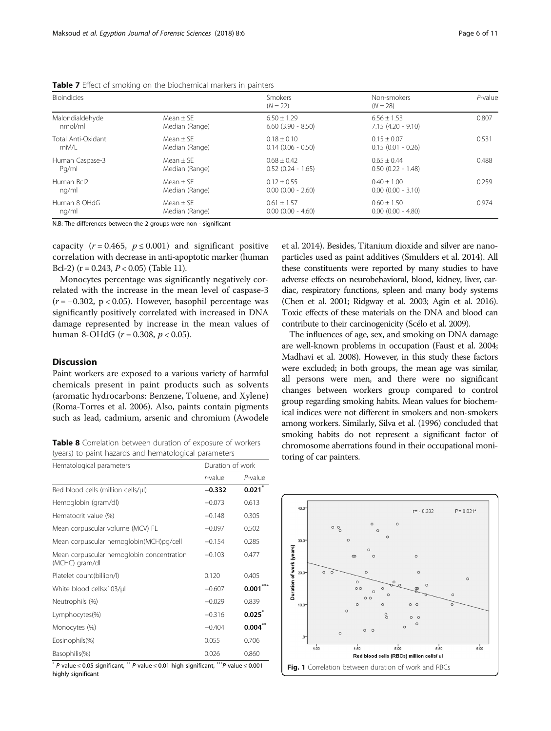| <b>Bioindicies</b> |                | Smokers<br>$(N = 22)$  | Non-smokers<br>$(N = 28)$ | $P$ -value |
|--------------------|----------------|------------------------|---------------------------|------------|
| Malondialdehyde    | $Mean + SF$    | $6.50 \pm 1.29$        | $6.56 \pm 1.53$           | 0.807      |
| nmol/ml            | Median (Range) | $6.60$ $(3.90 - 8.50)$ | $7.15(4.20 - 9.10)$       |            |
| Total Anti-Oxidant | $Mean + SF$    | $0.18 + 0.10$          | $0.15 + 0.07$             | 0.531      |
| mM/L               | Median (Range) | $0.14$ (0.06 - 0.50)   | $0.15(0.01 - 0.26)$       |            |
| Human Caspase-3    | $Mean + SF$    | $0.68 + 0.42$          | $0.65 + 0.44$             | 0.488      |
| Pg/ml              | Median (Range) | $0.52(0.24 - 1.65)$    | $0.50$ $(0.22 - 1.48)$    |            |
| Human Bcl2         | Mean $\pm$ SE  | $0.12 \pm 0.55$        | $0.40 \pm 1.00$           | 0.259      |
| ng/ml              | Median (Range) | $0.00$ $(0.00 - 2.60)$ | $0.00$ $(0.00 - 3.10)$    |            |
| Human 8 OHdG       | $Mean + SF$    | $0.61 \pm 1.57$        | $0.60 + 1.50$             | 0.974      |
| ng/ml              | Median (Range) | $0.00$ $(0.00 - 4.60)$ | $0.00$ $(0.00 - 4.80)$    |            |

<span id="page-5-0"></span>Table 7 Effect of smoking on the biochemical markers in painters

N.B: The differences between the 2 groups were non - significant

capacity ( $r = 0.465$ ,  $p \le 0.001$ ) and significant positive correlation with decrease in anti-apoptotic marker (human Bcl-2) ( $r = 0.243$ ,  $P < 0.05$ ) (Table [11](#page-8-0)).

Monocytes percentage was significantly negatively correlated with the increase in the mean level of caspase-3 ( $r = -0.302$ , p < 0.05). However, basophil percentage was significantly positively correlated with increased in DNA damage represented by increase in the mean values of human 8-OHdG ( $r = 0.308$ ,  $p < 0.05$ ).

# Discussion

Paint workers are exposed to a various variety of harmful chemicals present in paint products such as solvents (aromatic hydrocarbons: Benzene, Toluene, and Xylene) (Roma-Torres et al. [2006\)](#page-10-0). Also, paints contain pigments such as lead, cadmium, arsenic and chromium (Awodele

Table 8 Correlation between duration of exposure of workers (years) to paint hazards and hematological parameters

| Hematological parameters                                    | Duration of work |                   |
|-------------------------------------------------------------|------------------|-------------------|
|                                                             | r-value          | $P$ -value        |
| Red blood cells (million cells/ul)                          | $-0.332$         | 0.021             |
| Hemoglobin (gram/dl)                                        | $-0.073$         | 0.613             |
| Hematocrit value (%)                                        | $-0.148$         | 0.305             |
| Mean corpuscular volume (MCV) FL                            | $-0.097$         | 0.502             |
| Mean corpuscular hemoglobin(MCH)pg/cell                     | $-0.154$         | 0.285             |
| Mean corpuscular hemoglobin concentration<br>(MCHC) gram/dl | $-0.103$         | 0.477             |
| Platelet count(billion/l)                                   | 0.120            | 0.405             |
| White blood cellsx103/µl                                    | $-0.607$         | 0.001             |
| Neutrophils (%)                                             | $-0.029$         | 0.839             |
| Lymphocytes(%)                                              | $-0.316$         | $0.025^{r}$       |
| Monocytes (%)                                               | $-0.404$         | $0.004^{\degree}$ |
| Eosinophils(%)                                              | 0.055            | 0.706             |
| Basophilis(%)                                               | 0.026            | 0.860             |

\* P-value ≤ 0.05 significant, \*\* P-value ≤ 0.01 high significant, \*\*\*P-value ≤ 0.001 **Fig. 1** Correlation between duration of work and RBCs<br>highly significant

et al. [2014\)](#page-9-0). Besides, Titanium dioxide and silver are nanoparticles used as paint additives (Smulders et al. [2014\)](#page-10-0). All these constituents were reported by many studies to have adverse effects on neurobehavioral, blood, kidney, liver, cardiac, respiratory functions, spleen and many body systems (Chen et al. [2001;](#page-9-0) Ridgway et al. [2003](#page-10-0); Agin et al. [2016](#page-9-0)). Toxic effects of these materials on the DNA and blood can contribute to their carcinogenicity (Scélo et al. [2009\)](#page-10-0).

The influences of age, sex, and smoking on DNA damage are well-known problems in occupation (Faust et al. [2004](#page-10-0); Madhavi et al. [2008\)](#page-10-0). However, in this study these factors were excluded; in both groups, the mean age was similar, all persons were men, and there were no significant changes between workers group compared to control group regarding smoking habits. Mean values for biochemical indices were not different in smokers and non-smokers among workers. Similarly, Silva et al. [\(1996\)](#page-10-0) concluded that smoking habits do not represent a significant factor of chromosome aberrations found in their occupational monitoring of car painters.

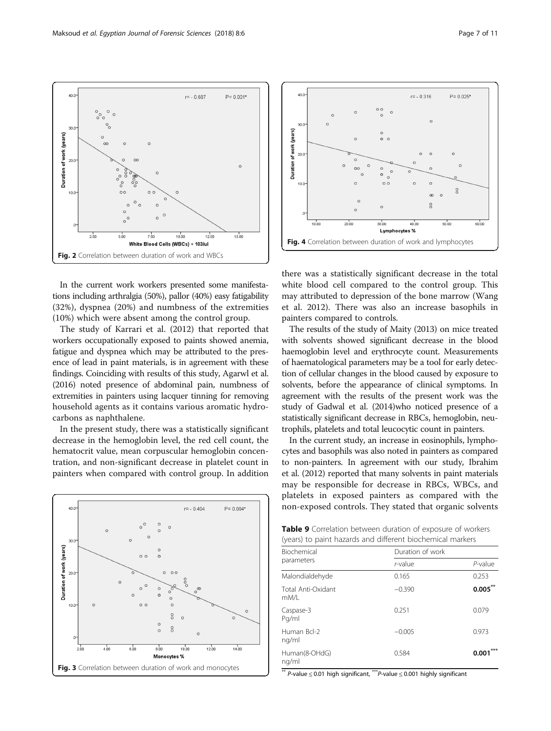$\circ \circ$  $\circ$ 

<span id="page-6-0"></span> $30.$ 

 $10.0$ 

Duration of work (years)

 $\circ$ 

 $r = -0.607$ 

 $P = 0.001*$ 

 $\circ$ 

15.00

In the current work workers presented some manifestations including arthralgia (50%), pallor (40%) easy fatigability (32%), dyspnea (20%) and numbness of the extremities (10%) which were absent among the control group.

Fig. 2 Correlation between duration of work and WBCs

 $7.50$ 

White Blood Cells (WBCs)

 $10.00$ 

 $12.50$ 

 $\times$  103/ul

 $5.00$ 

 $2.50$ 

 $\infty$ 

The study of Karrari et al. ([2012\)](#page-10-0) that reported that workers occupationally exposed to paints showed anemia, fatigue and dyspnea which may be attributed to the presence of lead in paint materials, is in agreement with these findings. Coinciding with results of this study, Agarwl et al. ([2016\)](#page-9-0) noted presence of abdominal pain, numbness of extremities in painters using lacquer tinning for removing household agents as it contains various aromatic hydrocarbons as naphthalene.

In the present study, there was a statistically significant decrease in the hemoglobin level, the red cell count, the hematocrit value, mean corpuscular hemoglobin concentration, and non-significant decrease in platelet count in painters when compared with control group. In addition





there was a statistically significant decrease in the total white blood cell compared to the control group. This may attributed to depression of the bone marrow (Wang et al. [2012\)](#page-10-0). There was also an increase basophils in painters compared to controls.

The results of the study of Maity ([2013\)](#page-10-0) on mice treated with solvents showed significant decrease in the blood haemoglobin level and erythrocyte count. Measurements of haematological parameters may be a tool for early detection of cellular changes in the blood caused by exposure to solvents, before the appearance of clinical symptoms. In agreement with the results of the present work was the study of Gadwal et al. [\(2014](#page-10-0))who noticed presence of a statistically significant decrease in RBCs, hemoglobin, neutrophils, platelets and total leucocytic count in painters.

In the current study, an increase in eosinophils, lymphocytes and basophils was also noted in painters as compared to non-painters. In agreement with our study, Ibrahim et al. ([2012\)](#page-10-0) reported that many solvents in paint materials may be responsible for decrease in RBCs, WBCs, and platelets in exposed painters as compared with the non-exposed controls. They stated that organic solvents

Table 9 Correlation between duration of exposure of workers (years) to paint hazards and different biochemical markers

| Duration of work |            |
|------------------|------------|
| r-value          | $P$ -value |
| 0.165            | 0.253      |
| $-0.390$         | $0.005^*$  |
| 0.251            | 0.079      |
| $-0.005$         | 0.973      |
| 0.584            | 0.001      |
|                  |            |

\*\* P-value <sup>≤</sup> 0.01 high significant, \*\*\*P-value <sup>≤</sup> 0.001 highly significant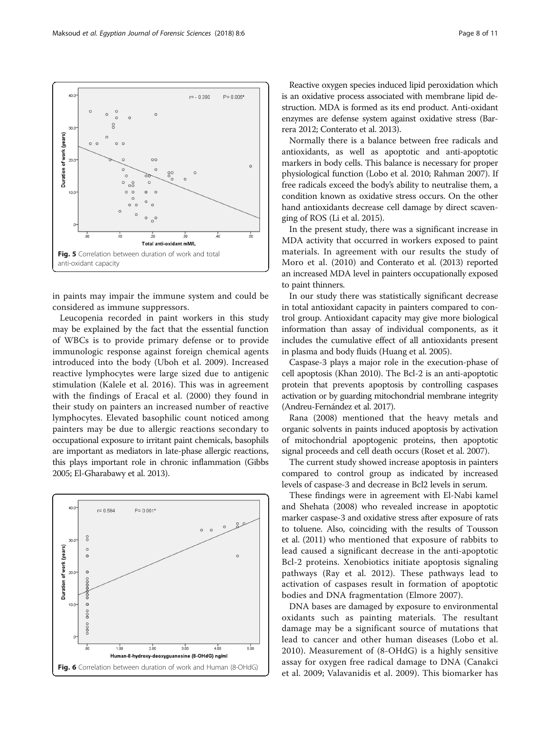<span id="page-7-0"></span>

in paints may impair the immune system and could be considered as immune suppressors.

Leucopenia recorded in paint workers in this study may be explained by the fact that the essential function of WBCs is to provide primary defense or to provide immunologic response against foreign chemical agents introduced into the body (Uboh et al. [2009\)](#page-10-0). Increased reactive lymphocytes were large sized due to antigenic stimulation (Kalele et al. [2016\)](#page-10-0). This was in agreement with the findings of Eracal et al. ([2000\)](#page-10-0) they found in their study on painters an increased number of reactive lymphocytes. Elevated basophilic count noticed among painters may be due to allergic reactions secondary to occupational exposure to irritant paint chemicals, basophils are important as mediators in late-phase allergic reactions, this plays important role in chronic inflammation (Gibbs [2005;](#page-10-0) El-Gharabawy et al. [2013](#page-9-0)).



Reactive oxygen species induced lipid peroxidation which is an oxidative process associated with membrane lipid destruction. MDA is formed as its end product. Anti-oxidant enzymes are defense system against oxidative stress (Barrera [2012;](#page-9-0) Conterato et al. [2013\)](#page-9-0).

Normally there is a balance between free radicals and antioxidants, as well as apoptotic and anti-apoptotic markers in body cells. This balance is necessary for proper physiological function (Lobo et al. [2010;](#page-10-0) Rahman [2007](#page-10-0)). If free radicals exceed the body's ability to neutralise them, a condition known as oxidative stress occurs. On the other hand antioxidants decrease cell damage by direct scavenging of ROS (Li et al. [2015](#page-10-0)).

In the present study, there was a significant increase in MDA activity that occurred in workers exposed to paint materials. In agreement with our results the study of Moro et al. ([2010\)](#page-10-0) and Conterato et al. ([2013\)](#page-9-0) reported an increased MDA level in painters occupationally exposed to paint thinners.

In our study there was statistically significant decrease in total antioxidant capacity in painters compared to control group. Antioxidant capacity may give more biological information than assay of individual components, as it includes the cumulative effect of all antioxidants present in plasma and body fluids (Huang et al. [2005](#page-10-0)).

Caspase-3 plays a major role in the execution-phase of cell apoptosis (Khan [2010\)](#page-10-0). The Bcl-2 is an anti-apoptotic protein that prevents apoptosis by controlling caspases activation or by guarding mitochondrial membrane integrity (Andreu-Fernández et al. [2017\)](#page-9-0).

Rana ([2008\)](#page-10-0) mentioned that the heavy metals and organic solvents in paints induced apoptosis by activation of mitochondrial apoptogenic proteins, then apoptotic signal proceeds and cell death occurs (Roset et al. [2007](#page-10-0)).

The current study showed increase apoptosis in painters compared to control group as indicated by increased levels of caspase-3 and decrease in Bcl2 levels in serum.

These findings were in agreement with El-Nabi kamel and Shehata ([2008](#page-10-0)) who revealed increase in apoptotic marker caspase-3 and oxidative stress after exposure of rats to toluene. Also, coinciding with the results of Tousson et al. [\(2011](#page-10-0)) who mentioned that exposure of rabbits to lead caused a significant decrease in the anti-apoptotic Bcl-2 proteins. Xenobiotics initiate apoptosis signaling pathways (Ray et al. [2012\)](#page-10-0). These pathways lead to activation of caspases result in formation of apoptotic bodies and DNA fragmentation (Elmore [2007](#page-9-0)).

DNA bases are damaged by exposure to environmental oxidants such as painting materials. The resultant damage may be a significant source of mutations that lead to cancer and other human diseases (Lobo et al. [2010\)](#page-10-0). Measurement of (8-OHdG) is a highly sensitive assay for oxygen free radical damage to DNA (Canakci et al. [2009](#page-9-0); Valavanidis et al. [2009\)](#page-10-0). This biomarker has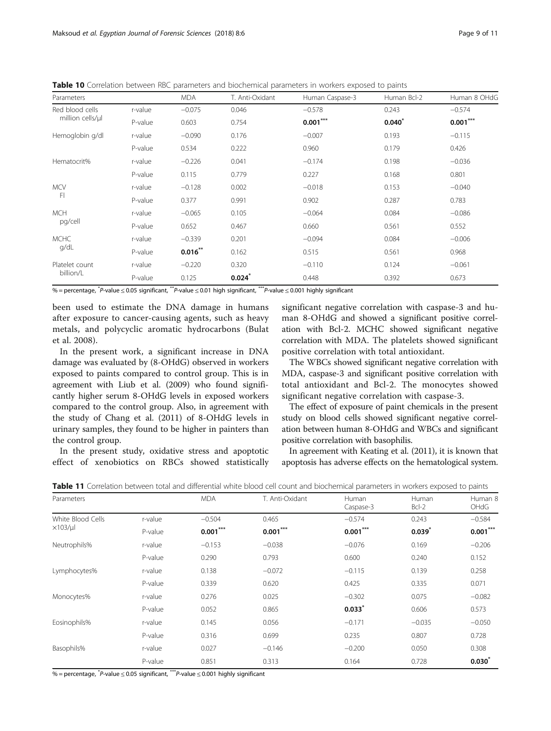<span id="page-8-0"></span>Table 10 Correlation between RBC parameters and biochemical parameters in workers exposed to paints

| Parameters                          |         | <b>MDA</b> | T. Anti-Oxidant | Human Caspase-3 | Human Bcl-2 | Human 8 OHdG |
|-------------------------------------|---------|------------|-----------------|-----------------|-------------|--------------|
| Red blood cells<br>million cells/µl | r-value | $-0.075$   | 0.046           | $-0.578$        | 0.243       | $-0.574$     |
|                                     | P-value | 0.603      | 0.754           | $0.001***$      | $0.040*$    | $0.001***$   |
| Hemoglobin g/dl                     | r-value | $-0.090$   | 0.176           | $-0.007$        | 0.193       | $-0.115$     |
|                                     | P-value | 0.534      | 0.222           | 0.960           | 0.179       | 0.426        |
| Hematocrit%                         | r-value | $-0.226$   | 0.041           | $-0.174$        | 0.198       | $-0.036$     |
|                                     | P-value | 0.115      | 0.779           | 0.227           | 0.168       | 0.801        |
| <b>MCV</b><br>FI                    | r-value | $-0.128$   | 0.002           | $-0.018$        | 0.153       | $-0.040$     |
|                                     | P-value | 0.377      | 0.991           | 0.902           | 0.287       | 0.783        |
| <b>MCH</b><br>pg/cell               | r-value | $-0.065$   | 0.105           | $-0.064$        | 0.084       | $-0.086$     |
|                                     | P-value | 0.652      | 0.467           | 0.660           | 0.561       | 0.552        |
| <b>MCHC</b><br>g/dL                 | r-value | $-0.339$   | 0.201           | $-0.094$        | 0.084       | $-0.006$     |
|                                     | P-value | $0.016***$ | 0.162           | 0.515           | 0.561       | 0.968        |
| Platelet count<br>billion/L         | r-value | $-0.220$   | 0.320           | $-0.110$        | 0.124       | $-0.061$     |
|                                     | P-value | 0.125      | $0.024*$        | 0.448           | 0.392       | 0.673        |

% = percentage, \* P-value <sup>≤</sup> 0.05 significant, \*\*P-value <sup>≤</sup> 0.01 high significant, \*\*\*P-value <sup>≤</sup> 0.001 highly significant

been used to estimate the DNA damage in humans after exposure to cancer-causing agents, such as heavy metals, and polycyclic aromatic hydrocarbons (Bulat et al. [2008](#page-9-0)).

In the present work, a significant increase in DNA damage was evaluated by (8-OHdG) observed in workers exposed to paints compared to control group. This is in agreement with Liub et al. [\(2009](#page-10-0)) who found significantly higher serum 8-OHdG levels in exposed workers compared to the control group. Also, in agreement with the study of Chang et al. [\(2011\)](#page-9-0) of 8-OHdG levels in urinary samples, they found to be higher in painters than the control group.

In the present study, oxidative stress and apoptotic effect of xenobiotics on RBCs showed statistically

significant negative correlation with caspase-3 and human 8-OHdG and showed a significant positive correlation with Bcl-2. MCHC showed significant negative correlation with MDA. The platelets showed significant positive correlation with total antioxidant.

The WBCs showed significant negative correlation with MDA, caspase-3 and significant positive correlation with total antioxidant and Bcl-2. The monocytes showed significant negative correlation with caspase-3.

The effect of exposure of paint chemicals in the present study on blood cells showed significant negative correlation between human 8-OHdG and WBCs and significant positive correlation with basophilis.

In agreement with Keating et al. ([2011](#page-10-0)), it is known that apoptosis has adverse effects on the hematological system.

Table 11 Correlation between total and differential white blood cell count and biochemical parameters in workers exposed to paints

| Parameters                           |         | <b>MDA</b> | T. Anti-Oxidant | Human<br>Caspase-3 | Human<br>$Bcl-2$ | Human 8<br>OHdG   |
|--------------------------------------|---------|------------|-----------------|--------------------|------------------|-------------------|
| White Blood Cells<br>$\times$ 103/µl | r-value | $-0.504$   | 0.465           | $-0.574$           | 0.243            | $-0.584$          |
|                                      | P-value | $0.001***$ | $0.001***$      | $0.001***$         | $0.039^{*}$      | $0.001***$        |
| Neutrophils%                         | r-value | $-0.153$   | $-0.038$        | $-0.076$           | 0.169            | $-0.206$          |
|                                      | P-value | 0.290      | 0.793           | 0.600              | 0.240            | 0.152             |
| Lymphocytes%                         | r-value | 0.138      | $-0.072$        | $-0.115$           | 0.139            | 0.258             |
|                                      | P-value | 0.339      | 0.620           | 0.425              | 0.335            | 0.071             |
| Monocytes%                           | r-value | 0.276      | 0.025           | $-0.302$           | 0.075            | $-0.082$          |
|                                      | P-value | 0.052      | 0.865           | 0.033              | 0.606            | 0.573             |
| Eosinophils%                         | r-value | 0.145      | 0.056           | $-0.171$           | $-0.035$         | $-0.050$          |
|                                      | P-value | 0.316      | 0.699           | 0.235              | 0.807            | 0.728             |
| Basophils%                           | r-value | 0.027      | $-0.146$        | $-0.200$           | 0.050            | 0.308             |
|                                      | P-value | 0.851      | 0.313           | 0.164              | 0.728            | $0.030^{\degree}$ |

% = percentage,  $\text{*}$ P-value  $\leq 0.05$  significant,  $\text{***}$ P-value  $\leq 0.001$  highly significant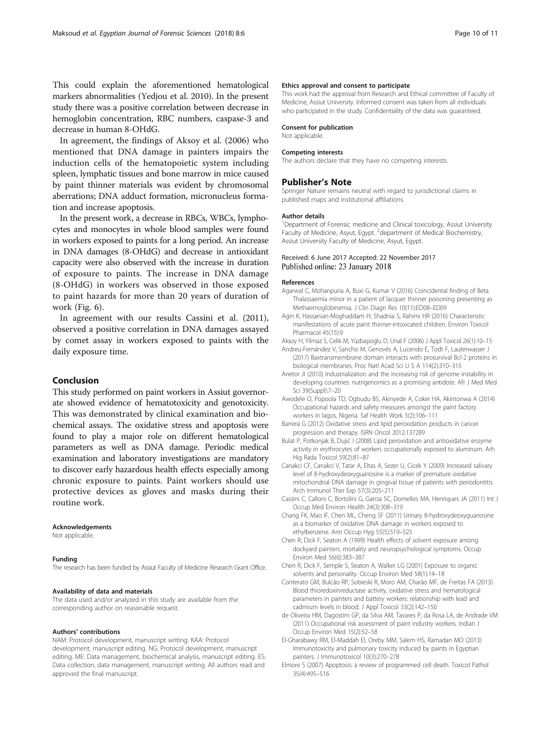<span id="page-9-0"></span>This could explain the aforementioned hematological markers abnormalities (Yedjou et al. [2010\)](#page-10-0). In the present study there was a positive correlation between decrease in hemoglobin concentration, RBC numbers, caspase-3 and decrease in human 8-OHdG.

In agreement, the findings of Aksoy et al. (2006) who mentioned that DNA damage in painters impairs the induction cells of the hematopoietic system including spleen, lymphatic tissues and bone marrow in mice caused by paint thinner materials was evident by chromosomal aberrations; DNA adduct formation, micronucleus formation and increase apoptosis.

In the present work, a decrease in RBCs, WBCs, lymphocytes and monocytes in whole blood samples were found in workers exposed to paints for a long period. An increase in DNA damages (8-OHdG) and decrease in antioxidant capacity were also observed with the increase in duration of exposure to paints. The increase in DNA damage (8-OHdG) in workers was observed in those exposed to paint hazards for more than 20 years of duration of work (Fig. [6](#page-7-0)).

In agreement with our results Cassini et al. (2011), observed a positive correlation in DNA damages assayed by comet assay in workers exposed to paints with the daily exposure time.

# Conclusion

This study performed on paint workers in Assiut governorate showed evidence of hematotoxicity and genotoxicity. This was demonstrated by clinical examination and biochemical assays. The oxidative stress and apoptosis were found to play a major role on different hematological parameters as well as DNA damage. Periodic medical examination and laboratory investigations are mandatory to discover early hazardous health effects especially among chronic exposure to paints. Paint workers should use protective devices as gloves and masks during their routine work.

#### **Acknowledgements**

Not applicable.

#### Funding

The research has been funded by Assiut Faculty of Medicine Research Grant Office.

#### Availability of data and materials

The data used and/or analyzed in this study are available from the corresponding author on reasonable request.

#### Authors' contributions

NAM: Protocol development, manuscript writing. KAA: Protocol development, manuscript editing. NG: Protocol development, manuscript editing. ME: Data management, biochemical analysis, manuscript editing. ES: Data collection, data management, manuscript writing. All authors read and approved the final manuscript.

#### Ethics approval and consent to participate

This work had the approval from Research and Ethical committee of Faculty of Medicine, Assiut University. Informed consent was taken from all individuals who participated in the study. Confidentiality of the data was guaranteed.

#### Consent for publication

Not applicable.

#### Competing interests

The authors declare that they have no competing interests.

#### Publisher's Note

Springer Nature remains neutral with regard to jurisdictional claims in published maps and institutional affiliations.

#### Author details

<sup>1</sup>Department of Forensic medicine and Clinical toxicology, Assiut University Faculty of Medicine, Asyut, Egypt. <sup>2</sup> department of Medical Biochemistry Assiut University Faculty of Medicine, Asyut, Egypt.

## Received: 6 June 2017 Accepted: 22 November 2017 Published online: 23 January 2018

#### References

- Agarwal C, Mohanpuria A, Buxi G, Kumar V (2016) Coincidental finding of Beta Thalassaemia minor in a patient of lacquer thinner poisoning presenting as Methaemoglobinemia. J Clin Diagn Res 10(11):ED08–ED09
- Agin K, Hassanian-Moghaddam H, Shadnia S, Rahimi HR (2016) Characteristic manifestations of acute paint thinner-intoxicated children. Environ Toxicol Pharmacol 45(15):9
- Aksoy H, Yilmaz S, Celik M, Yüzbaşioglu D, Unal F (2006) J Appl Toxicol 26(1):10–15
- Andreu-Fernández V, Sancho M, Genovés A, Lucendo E, Todt F, Lauterwasser J (2017) Baxtransmembrane domain interacts with prosurvival Bcl-2 proteins in biological membranes. Proc Natl Acad Sci U S A 114(2):310–315
- Anetor JI (2010) Industrialization and the increasing risk of genome instability in developing countries: nutrigenomics as a promising antidote. Afr J Med Med Sci 39(Suppl):7–20
- Awodele O, Popoola TD, Ogbudu BS, Akinyede A, Coker HA, Akintonwa A (2014) Occupational hazards and safety measures amongst the paint factory workers in lagos, Nigeria. Saf Health Work 5(2):106–111
- Barrera G (2012) Oxidative stress and lipid peroxidation products in cancer progression and therapy. ISRN Oncol 2012:137289
- Bulat P, Potkonjak B, Dujić I (2008) Lipid peroxidation and antioxidative enzyme activity in erythrocytes of workers occupationally exposed to aluminum. Arh Hig Rada Toxicol 59(2):81–87
- Canakci CF, Canakci V, Tatar A, Eltas A, Sezer U, Cicek Y (2009) Increased salivary level of 8-hydroxydeoxyguanosine is a marker of premature oxidative mitochondrial DNA damage in gingival tissue of patients with periodontitis. Arch Immunol Ther Exp 57(3):205–211
- Cassini C, Calloni C, Bortolini G, Garcia SC, Dornelles MA, Henriques JA (2011) Int J Occup Med Environ Health 24(3):308–319
- Chang FK, Mao IF, Chen ML, Cheng SF (2011) Urinary 8-hydroxydeoxyguanosine as a biomarker of oxidative DNA damage in workers exposed to ethylbenzene. Ann Occup Hyg 55(5):519–525
- Chen R, Dick F, Seaton A (1999) Health effects of solvent exposure among dockyard painters: mortality and neuropsychological symptoms. Occup Environ Med 56(6):383–387
- Chen R, Dick F, Semple S, Seaton A, Walker LG (2001) Exposure to organic solvents and personality. Occup Environ Med 58(1):14–18
- Conterato GM, Bulcão RP, Sobieski R, Moro AM, Charão MF, de Freitas FA (2013) Blood thioredoxinreductase activity, oxidative stress and hematological parameters in painters and battery workers: relationship with lead and cadmium levels in blood. J Appl Toxicol 33(2):142–150
- de Oliveira HM, Dagostim GP, da Silva AM, Tavares P, da Rosa LA, de Andrade VM (2011) Occupational risk assessment of paint industry workers. Indian J Occup Environ Med 15(2):52–58
- El-Gharabawy RM, El-Maddah EI, Oreby MM, Salem HS, Ramadan MO (2013) Immunotoxicity and pulmonary toxicity induced by paints in Egyptian painters. J Immunotoxicol 10(3):270–278
- Elmore S (2007) Apoptosis: a review of programmed cell death. Toxicol Pathol 35(4):495–516